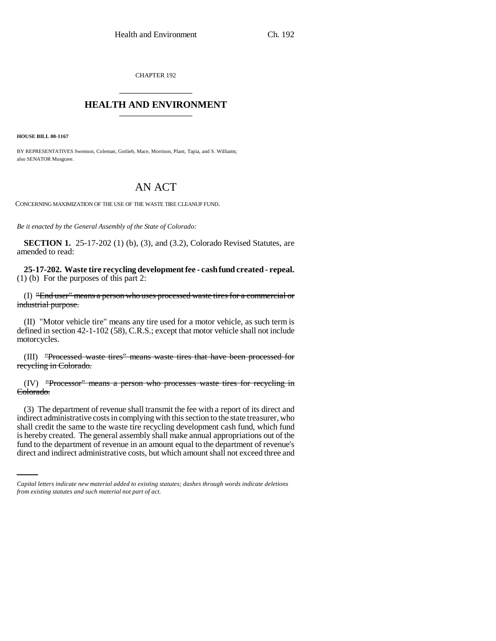CHAPTER 192 \_\_\_\_\_\_\_\_\_\_\_\_\_\_\_

## **HEALTH AND ENVIRONMENT** \_\_\_\_\_\_\_\_\_\_\_\_\_\_\_

**HOUSE BILL 00-1167** 

BY REPRESENTATIVES Swenson, Coleman, Gotlieb, Mace, Morrison, Plant, Tapia, and S. Williams; also SENATOR Musgrave.

## AN ACT

CONCERNING MAXIMIZATION OF THE USE OF THE WASTE TIRE CLEANUP FUND.

*Be it enacted by the General Assembly of the State of Colorado:*

**SECTION 1.** 25-17-202 (1) (b), (3), and (3.2), Colorado Revised Statutes, are amended to read:

**25-17-202. Waste tire recycling development fee - cash fund created - repeal.** (1) (b) For the purposes of this part 2:

(I) "End user" means a person who uses processed waste tires for a commercial or industrial purpose.

(II) "Motor vehicle tire" means any tire used for a motor vehicle, as such term is defined in section 42-1-102 (58), C.R.S.; except that motor vehicle shall not include motorcycles.

(III) "Processed waste tires" means waste tires that have been processed for recycling in Colorado.

(IV) "Processor" means a person who processes waste tires for recycling in Colorado.

is hereby created. The general assembly shall make annual appropriations out of the (3) The department of revenue shall transmit the fee with a report of its direct and indirect administrative costs in complying with this section to the state treasurer, who shall credit the same to the waste tire recycling development cash fund, which fund fund to the department of revenue in an amount equal to the department of revenue's direct and indirect administrative costs, but which amount shall not exceed three and

*Capital letters indicate new material added to existing statutes; dashes through words indicate deletions from existing statutes and such material not part of act.*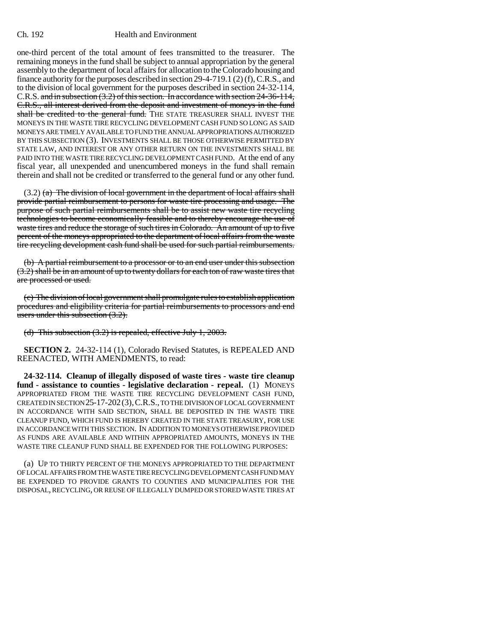## Ch. 192 Health and Environment

one-third percent of the total amount of fees transmitted to the treasurer. The remaining moneys in the fund shall be subject to annual appropriation by the general assembly to the department of local affairs for allocation to the Colorado housing and finance authority for the purposes described in section 29-4-719.1 (2) (f), C.R.S., and to the division of local government for the purposes described in section 24-32-114, C.R.S. and in subsection (3.2) of this section. In accordance with section 24-36-114, C.R.S., all interest derived from the deposit and investment of moneys in the fund shall be credited to the general fund. THE STATE TREASURER SHALL INVEST THE MONEYS IN THE WASTE TIRE RECYCLING DEVELOPMENT CASH FUND SO LONG AS SAID MONEYS ARE TIMELY AVAILABLE TO FUND THE ANNUAL APPROPRIATIONS AUTHORIZED BY THIS SUBSECTION (3). INVESTMENTS SHALL BE THOSE OTHERWISE PERMITTED BY STATE LAW, AND INTEREST OR ANY OTHER RETURN ON THE INVESTMENTS SHALL BE PAID INTO THE WASTE TIRE RECYCLING DEVELOPMENT CASH FUND. At the end of any fiscal year, all unexpended and unencumbered moneys in the fund shall remain therein and shall not be credited or transferred to the general fund or any other fund.

 $(3.2)$  (a) The division of local government in the department of local affairs shall provide partial reimbursement to persons for waste tire processing and usage. The purpose of such partial reimbursements shall be to assist new waste tire recycling technologies to become economically feasible and to thereby encourage the use of waste tires and reduce the storage of such tires in Colorado. An amount of up to five percent of the moneys appropriated to the department of local affairs from the waste tire recycling development cash fund shall be used for such partial reimbursements.

(b) A partial reimbursement to a processor or to an end user under this subsection (3.2) shall be in an amount of up to twenty dollars for each ton of raw waste tires that are processed or used.

(c) The division of local government shall promulgate rules to establish application procedures and eligibility criteria for partial reimbursements to processors and end users under this subsection  $(3.2)$ .

(d) This subsection (3.2) is repealed, effective July 1, 2003.

**SECTION 2.** 24-32-114 (1), Colorado Revised Statutes, is REPEALED AND REENACTED, WITH AMENDMENTS, to read:

**24-32-114. Cleanup of illegally disposed of waste tires - waste tire cleanup fund - assistance to counties - legislative declaration - repeal.** (1) MONEYS APPROPRIATED FROM THE WASTE TIRE RECYCLING DEVELOPMENT CASH FUND, CREATED IN SECTION 25-17-202(3),C.R.S., TO THE DIVISION OF LOCAL GOVERNMENT IN ACCORDANCE WITH SAID SECTION, SHALL BE DEPOSITED IN THE WASTE TIRE CLEANUP FUND, WHICH FUND IS HEREBY CREATED IN THE STATE TREASURY, FOR USE IN ACCORDANCE WITH THIS SECTION. IN ADDITION TO MONEYS OTHERWISE PROVIDED AS FUNDS ARE AVAILABLE AND WITHIN APPROPRIATED AMOUNTS, MONEYS IN THE WASTE TIRE CLEANUP FUND SHALL BE EXPENDED FOR THE FOLLOWING PURPOSES:

(a) UP TO THIRTY PERCENT OF THE MONEYS APPROPRIATED TO THE DEPARTMENT OF LOCAL AFFAIRS FROM THE WASTE TIRE RECYCLING DEVELOPMENT CASH FUND MAY BE EXPENDED TO PROVIDE GRANTS TO COUNTIES AND MUNICIPALITIES FOR THE DISPOSAL, RECYCLING, OR REUSE OF ILLEGALLY DUMPED OR STORED WASTE TIRES AT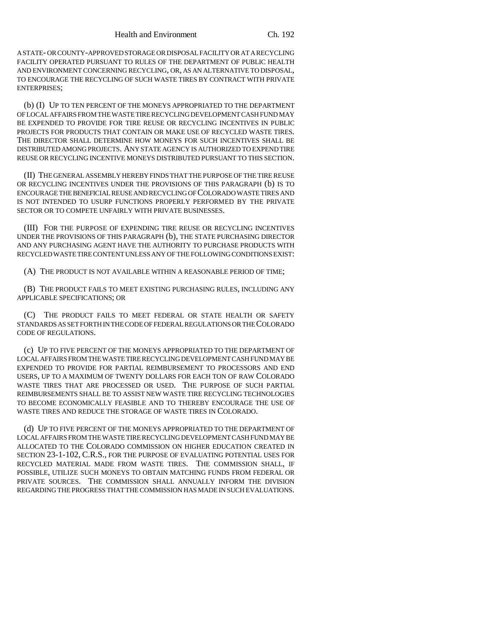A STATE- OR COUNTY-APPROVED STORAGE OR DISPOSAL FACILITY OR AT A RECYCLING FACILITY OPERATED PURSUANT TO RULES OF THE DEPARTMENT OF PUBLIC HEALTH AND ENVIRONMENT CONCERNING RECYCLING, OR, AS AN ALTERNATIVE TO DISPOSAL, TO ENCOURAGE THE RECYCLING OF SUCH WASTE TIRES BY CONTRACT WITH PRIVATE ENTERPRISES;

(b) (I) UP TO TEN PERCENT OF THE MONEYS APPROPRIATED TO THE DEPARTMENT OF LOCAL AFFAIRS FROM THE WASTE TIRE RECYCLING DEVELOPMENT CASH FUND MAY BE EXPENDED TO PROVIDE FOR TIRE REUSE OR RECYCLING INCENTIVES IN PUBLIC PROJECTS FOR PRODUCTS THAT CONTAIN OR MAKE USE OF RECYCLED WASTE TIRES. THE DIRECTOR SHALL DETERMINE HOW MONEYS FOR SUCH INCENTIVES SHALL BE DISTRIBUTED AMONG PROJECTS. ANY STATE AGENCY IS AUTHORIZED TO EXPEND TIRE REUSE OR RECYCLING INCENTIVE MONEYS DISTRIBUTED PURSUANT TO THIS SECTION.

(II) THE GENERAL ASSEMBLY HEREBY FINDS THAT THE PURPOSE OF THE TIRE REUSE OR RECYCLING INCENTIVES UNDER THE PROVISIONS OF THIS PARAGRAPH (b) IS TO ENCOURAGE THE BENEFICIAL REUSE AND RECYCLING OF COLORADO WASTE TIRES AND IS NOT INTENDED TO USURP FUNCTIONS PROPERLY PERFORMED BY THE PRIVATE SECTOR OR TO COMPETE UNFAIRLY WITH PRIVATE BUSINESSES.

(III) FOR THE PURPOSE OF EXPENDING TIRE REUSE OR RECYCLING INCENTIVES UNDER THE PROVISIONS OF THIS PARAGRAPH (b), THE STATE PURCHASING DIRECTOR AND ANY PURCHASING AGENT HAVE THE AUTHORITY TO PURCHASE PRODUCTS WITH RECYCLED WASTE TIRE CONTENT UNLESS ANY OF THE FOLLOWING CONDITIONS EXIST:

(A) THE PRODUCT IS NOT AVAILABLE WITHIN A REASONABLE PERIOD OF TIME;

(B) THE PRODUCT FAILS TO MEET EXISTING PURCHASING RULES, INCLUDING ANY APPLICABLE SPECIFICATIONS; OR

(C) THE PRODUCT FAILS TO MEET FEDERAL OR STATE HEALTH OR SAFETY STANDARDS AS SET FORTH IN THE CODE OF FEDERAL REGULATIONS OR THE COLORADO CODE OF REGULATIONS.

(c) UP TO FIVE PERCENT OF THE MONEYS APPROPRIATED TO THE DEPARTMENT OF LOCAL AFFAIRS FROM THE WASTE TIRE RECYCLING DEVELOPMENT CASH FUND MAY BE EXPENDED TO PROVIDE FOR PARTIAL REIMBURSEMENT TO PROCESSORS AND END USERS, UP TO A MAXIMUM OF TWENTY DOLLARS FOR EACH TON OF RAW COLORADO WASTE TIRES THAT ARE PROCESSED OR USED. THE PURPOSE OF SUCH PARTIAL REIMBURSEMENTS SHALL BE TO ASSIST NEW WASTE TIRE RECYCLING TECHNOLOGIES TO BECOME ECONOMICALLY FEASIBLE AND TO THEREBY ENCOURAGE THE USE OF WASTE TIRES AND REDUCE THE STORAGE OF WASTE TIRES IN COLORADO.

(d) UP TO FIVE PERCENT OF THE MONEYS APPROPRIATED TO THE DEPARTMENT OF LOCAL AFFAIRS FROM THE WASTE TIRE RECYCLING DEVELOPMENT CASH FUND MAY BE ALLOCATED TO THE COLORADO COMMISSION ON HIGHER EDUCATION CREATED IN SECTION 23-1-102, C.R.S., FOR THE PURPOSE OF EVALUATING POTENTIAL USES FOR RECYCLED MATERIAL MADE FROM WASTE TIRES. THE COMMISSION SHALL, IF POSSIBLE, UTILIZE SUCH MONEYS TO OBTAIN MATCHING FUNDS FROM FEDERAL OR PRIVATE SOURCES. THE COMMISSION SHALL ANNUALLY INFORM THE DIVISION REGARDING THE PROGRESS THAT THE COMMISSION HAS MADE IN SUCH EVALUATIONS.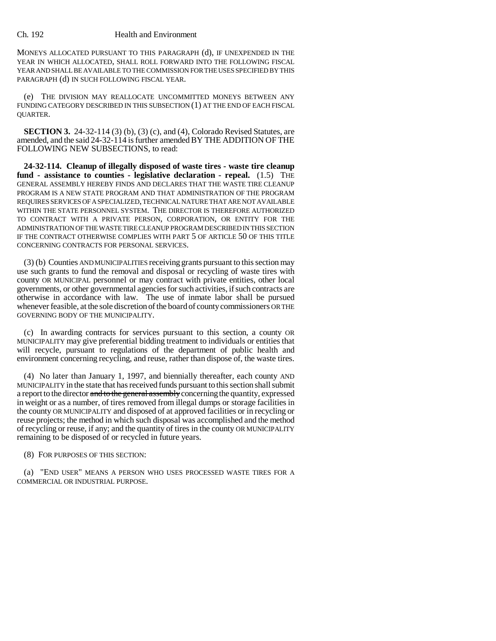## Ch. 192 Health and Environment

MONEYS ALLOCATED PURSUANT TO THIS PARAGRAPH (d), IF UNEXPENDED IN THE YEAR IN WHICH ALLOCATED, SHALL ROLL FORWARD INTO THE FOLLOWING FISCAL YEAR AND SHALL BE AVAILABLE TO THE COMMISSION FOR THE USES SPECIFIED BY THIS PARAGRAPH (d) IN SUCH FOLLOWING FISCAL YEAR.

(e) THE DIVISION MAY REALLOCATE UNCOMMITTED MONEYS BETWEEN ANY FUNDING CATEGORY DESCRIBED IN THIS SUBSECTION (1) AT THE END OF EACH FISCAL QUARTER.

**SECTION 3.** 24-32-114 (3) (b), (3) (c), and (4), Colorado Revised Statutes, are amended, and the said 24-32-114 is further amended BY THE ADDITION OF THE FOLLOWING NEW SUBSECTIONS, to read:

**24-32-114. Cleanup of illegally disposed of waste tires - waste tire cleanup fund - assistance to counties - legislative declaration - repeal.** (1.5) THE GENERAL ASSEMBLY HEREBY FINDS AND DECLARES THAT THE WASTE TIRE CLEANUP PROGRAM IS A NEW STATE PROGRAM AND THAT ADMINISTRATION OF THE PROGRAM REQUIRES SERVICES OF A SPECIALIZED, TECHNICAL NATURE THAT ARE NOT AVAILABLE WITHIN THE STATE PERSONNEL SYSTEM. THE DIRECTOR IS THEREFORE AUTHORIZED TO CONTRACT WITH A PRIVATE PERSON, CORPORATION, OR ENTITY FOR THE ADMINISTRATION OF THE WASTE TIRE CLEANUP PROGRAM DESCRIBED IN THIS SECTION IF THE CONTRACT OTHERWISE COMPLIES WITH PART 5 OF ARTICLE 50 OF THIS TITLE CONCERNING CONTRACTS FOR PERSONAL SERVICES.

(3) (b) Counties AND MUNICIPALITIES receiving grants pursuant to this section may use such grants to fund the removal and disposal or recycling of waste tires with county OR MUNICIPAL personnel or may contract with private entities, other local governments, or other governmental agencies for such activities, if such contracts are otherwise in accordance with law. The use of inmate labor shall be pursued whenever feasible, at the sole discretion of the board of county commissioners OR THE GOVERNING BODY OF THE MUNICIPALITY.

(c) In awarding contracts for services pursuant to this section, a county OR MUNICIPALITY may give preferential bidding treatment to individuals or entities that will recycle, pursuant to regulations of the department of public health and environment concerning recycling, and reuse, rather than dispose of, the waste tires.

(4) No later than January 1, 1997, and biennially thereafter, each county AND MUNICIPALITY in the state that has received funds pursuant to this section shall submit a report to the director and to the general assembly concerning the quantity, expressed in weight or as a number, of tires removed from illegal dumps or storage facilities in the county OR MUNICIPALITY and disposed of at approved facilities or in recycling or reuse projects; the method in which such disposal was accomplished and the method of recycling or reuse, if any; and the quantity of tires in the county OR MUNICIPALITY remaining to be disposed of or recycled in future years.

(8) FOR PURPOSES OF THIS SECTION:

(a) "END USER" MEANS A PERSON WHO USES PROCESSED WASTE TIRES FOR A COMMERCIAL OR INDUSTRIAL PURPOSE.